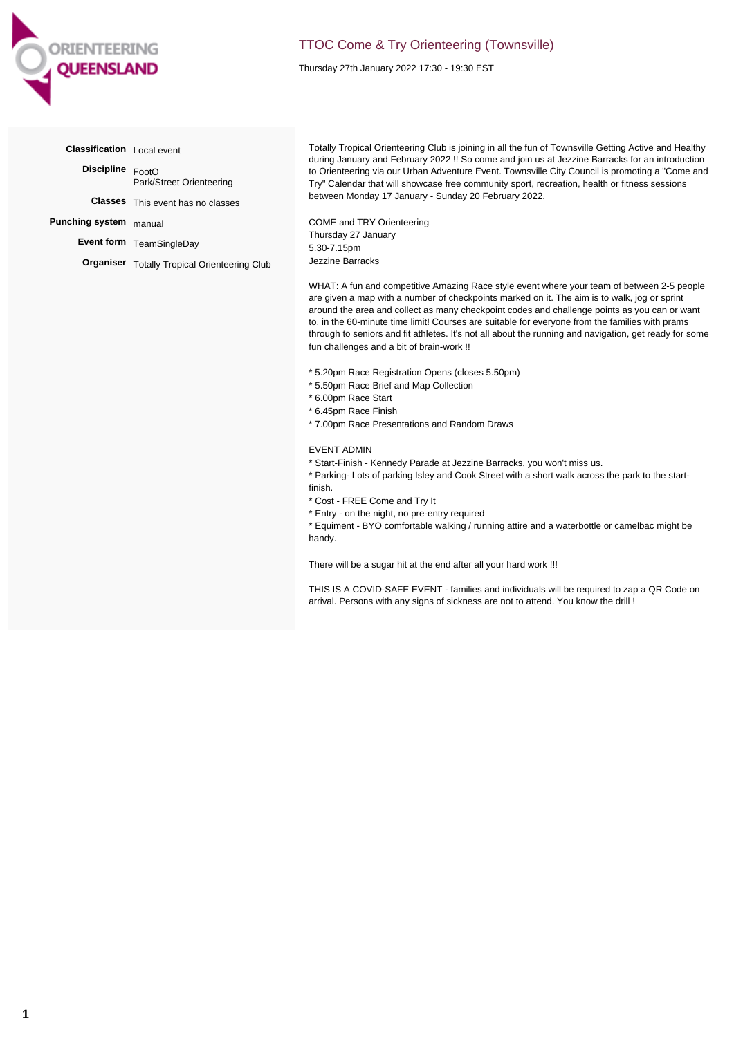

## TTOC Come & Try Orienteering (Townsville)

Thursday 27th January 2022 17:30 - 19:30 EST

| Classification Local event |                                                     |
|----------------------------|-----------------------------------------------------|
| Discipline FootO           | Park/Street Orienteering                            |
|                            | <b>Classes</b> This event has no classes            |
| Punching system manual     |                                                     |
|                            | Event form TeamSingleDay                            |
|                            | <b>Organiser</b> Totally Tropical Orienteering Club |
|                            |                                                     |

Totally Tropical Orienteering Club is joining in all the fun of Townsville Getting Active and Healthy during January and February 2022 !! So come and join us at Jezzine Barracks for an introduction to Orienteering via our Urban Adventure Event. Townsville City Council is promoting a "Come and Try" Calendar that will showcase free community sport, recreation, health or fitness sessions between Monday 17 January - Sunday 20 February 2022.

COME and TRY Orienteering Thursday 27 January 5.30-7.15pm Jezzine Barracks

WHAT: A fun and competitive Amazing Race style event where your team of between 2-5 people are given a map with a number of checkpoints marked on it. The aim is to walk, jog or sprint around the area and collect as many checkpoint codes and challenge points as you can or want to, in the 60-minute time limit! Courses are suitable for everyone from the families with prams through to seniors and fit athletes. It's not all about the running and navigation, get ready for some fun challenges and a bit of brain-work !!

- \* 5.20pm Race Registration Opens (closes 5.50pm)
- \* 5.50pm Race Brief and Map Collection
- \* 6.00pm Race Start
- \* 6.45pm Race Finish
- \* 7.00pm Race Presentations and Random Draws

## EVENT ADMIN

\* Start-Finish - Kennedy Parade at Jezzine Barracks, you won't miss us.

\* Parking- Lots of parking Isley and Cook Street with a short walk across the park to the startfinish.

- \* Cost FREE Come and Try It
- \* Entry on the night, no pre-entry required

\* Equiment - BYO comfortable walking / running attire and a waterbottle or camelbac might be handy.

There will be a sugar hit at the end after all your hard work !!!

THIS IS A COVID-SAFE EVENT - families and individuals will be required to zap a QR Code on arrival. Persons with any signs of sickness are not to attend. You know the drill !